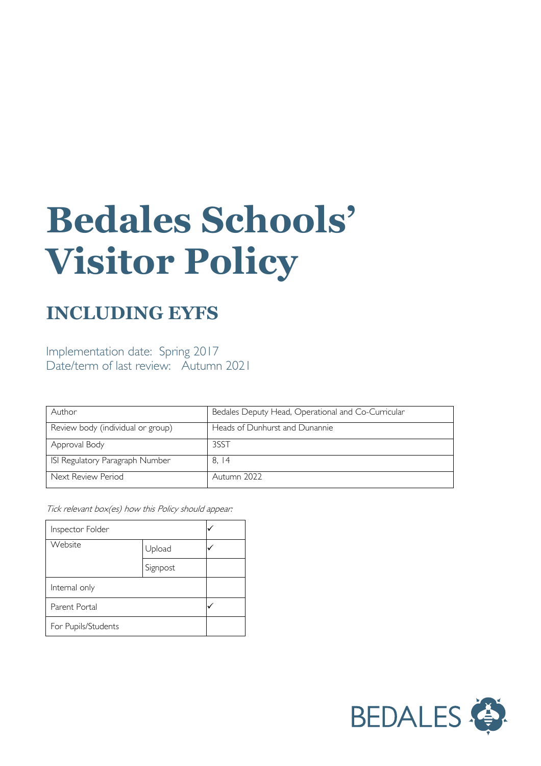# **Bedales Schools' Visitor Policy**

# **INCLUDING EYFS**

Implementation date: Spring 2017 Date/term of last review: Autumn 2021

| Author                            | Bedales Deputy Head, Operational and Co-Curricular |
|-----------------------------------|----------------------------------------------------|
| Review body (individual or group) | Heads of Dunhurst and Dunannie                     |
| Approval Body                     | 3SST                                               |
| ISI Regulatory Paragraph Number   | 8.14                                               |
| Next Review Period                | Autumn 2022                                        |

Tick relevant box(es) how this Policy should appear:

| Inspector Folder    |          |  |
|---------------------|----------|--|
| Website             | Upload   |  |
|                     | Signpost |  |
| Internal only       |          |  |
| Parent Portal       |          |  |
| For Pupils/Students |          |  |

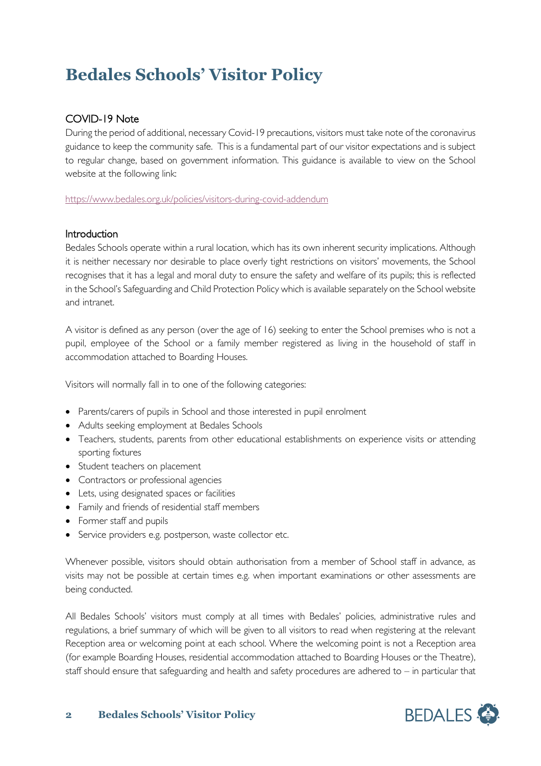# **Bedales Schools' Visitor Policy**

# COVID-19 Note

During the period of additional, necessary Covid-19 precautions, visitors must take note of the coronavirus guidance to keep the community safe. This is a fundamental part of our visitor expectations and is subject to regular change, based on government information. This guidance is available to view on the School website at the following link:

<https://www.bedales.org.uk/policies/visitors-during-covid-addendum>

# Introduction

Bedales Schools operate within a rural location, which has its own inherent security implications. Although it is neither necessary nor desirable to place overly tight restrictions on visitors' movements, the School recognises that it has a legal and moral duty to ensure the safety and welfare of its pupils; this is reflected in the School's Safeguarding and Child Protection Policy which is available separately on the School website and intranet.

A visitor is defined as any person (over the age of 16) seeking to enter the School premises who is not a pupil, employee of the School or a family member registered as living in the household of staff in accommodation attached to Boarding Houses.

Visitors will normally fall in to one of the following categories:

- Parents/carers of pupils in School and those interested in pupil enrolment
- Adults seeking employment at Bedales Schools
- Teachers, students, parents from other educational establishments on experience visits or attending sporting fixtures
- Student teachers on placement
- Contractors or professional agencies
- Lets, using designated spaces or facilities
- Family and friends of residential staff members
- Former staff and pupils
- Service providers e.g. postperson, waste collector etc.

Whenever possible, visitors should obtain authorisation from a member of School staff in advance, as visits may not be possible at certain times e.g. when important examinations or other assessments are being conducted.

All Bedales Schools' visitors must comply at all times with Bedales' policies, administrative rules and regulations, a brief summary of which will be given to all visitors to read when registering at the relevant Reception area or welcoming point at each school. Where the welcoming point is not a Reception area (for example Boarding Houses, residential accommodation attached to Boarding Houses or the Theatre), staff should ensure that safeguarding and health and safety procedures are adhered to – in particular that

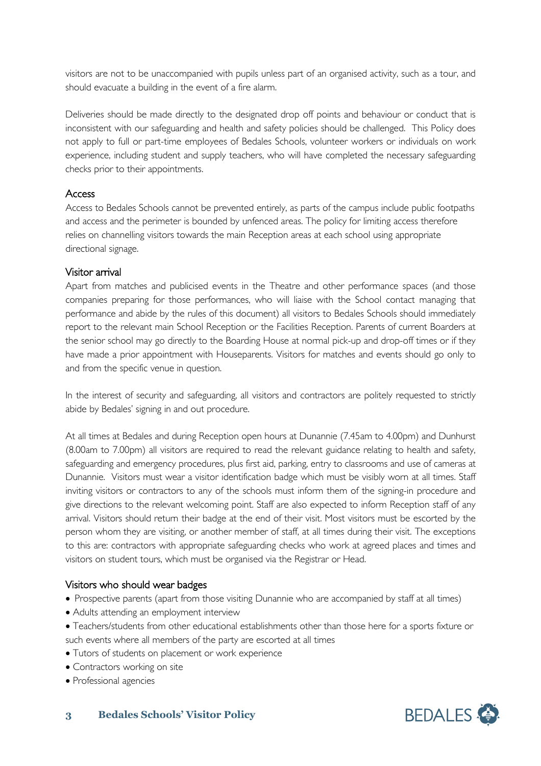visitors are not to be unaccompanied with pupils unless part of an organised activity, such as a tour, and should evacuate a building in the event of a fire alarm.

Deliveries should be made directly to the designated drop off points and behaviour or conduct that is inconsistent with our safeguarding and health and safety policies should be challenged. This Policy does not apply to full or part-time employees of Bedales Schools, volunteer workers or individuals on work experience, including student and supply teachers, who will have completed the necessary safeguarding checks prior to their appointments.

#### Access

Access to Bedales Schools cannot be prevented entirely, as parts of the campus include public footpaths and access and the perimeter is bounded by unfenced areas. The policy for limiting access therefore relies on channelling visitors towards the main Reception areas at each school using appropriate directional signage.

# Visitor arrival

Apart from matches and publicised events in the Theatre and other performance spaces (and those companies preparing for those performances, who will liaise with the School contact managing that performance and abide by the rules of this document) all visitors to Bedales Schools should immediately report to the relevant main School Reception or the Facilities Reception. Parents of current Boarders at the senior school may go directly to the Boarding House at normal pick-up and drop-off times or if they have made a prior appointment with Houseparents. Visitors for matches and events should go only to and from the specific venue in question.

In the interest of security and safeguarding, all visitors and contractors are politely requested to strictly abide by Bedales' signing in and out procedure.

At all times at Bedales and during Reception open hours at Dunannie (7.45am to 4.00pm) and Dunhurst (8.00am to 7.00pm) all visitors are required to read the relevant guidance relating to health and safety, safeguarding and emergency procedures, plus first aid, parking, entry to classrooms and use of cameras at Dunannie. Visitors must wear a visitor identification badge which must be visibly worn at all times. Staff inviting visitors or contractors to any of the schools must inform them of the signing-in procedure and give directions to the relevant welcoming point. Staff are also expected to inform Reception staff of any arrival. Visitors should return their badge at the end of their visit. Most visitors must be escorted by the person whom they are visiting, or another member of staff, at all times during their visit. The exceptions to this are: contractors with appropriate safeguarding checks who work at agreed places and times and visitors on student tours, which must be organised via the Registrar or Head.

# Visitors who should wear badges

- Prospective parents (apart from those visiting Dunannie who are accompanied by staff at all times)
- Adults attending an employment interview
- Teachers/students from other educational establishments other than those here for a sports fixture or such events where all members of the party are escorted at all times
- Tutors of students on placement or work experience
- Contractors working on site
- Professional agencies

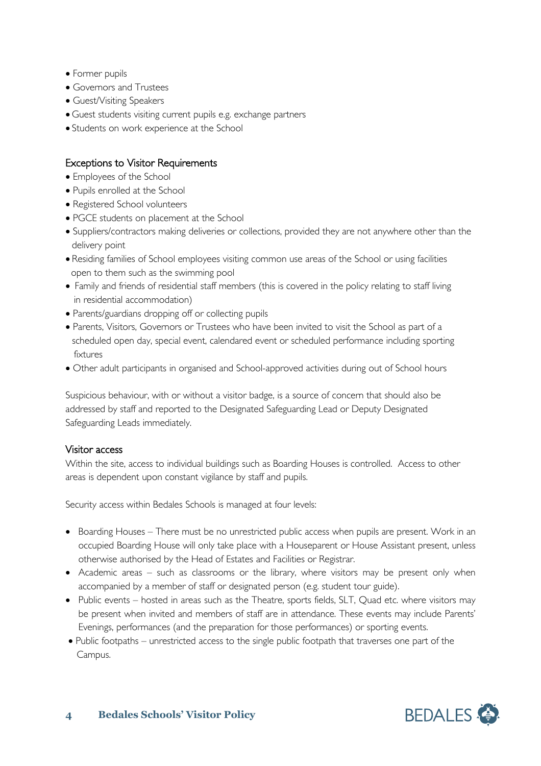- Former pupils
- Governors and Trustees
- Guest/Visiting Speakers
- Guest students visiting current pupils e.g. exchange partners
- Students on work experience at the School

# Exceptions to Visitor Requirements

- Employees of the School
- Pupils enrolled at the School
- Registered School volunteers
- PGCE students on placement at the School
- Suppliers/contractors making deliveries or collections, provided they are not anywhere other than the delivery point
- Residing families of School employees visiting common use areas of the School or using facilities open to them such as the swimming pool
- Family and friends of residential staff members (this is covered in the policy relating to staff living in residential accommodation)
- Parents/guardians dropping off or collecting pupils
- Parents, Visitors, Governors or Trustees who have been invited to visit the School as part of a scheduled open day, special event, calendared event or scheduled performance including sporting fixtures
- Other adult participants in organised and School-approved activities during out of School hours

Suspicious behaviour, with or without a visitor badge, is a source of concern that should also be addressed by staff and reported to the Designated Safeguarding Lead or Deputy Designated Safeguarding Leads immediately.

# Visitor access

Within the site, access to individual buildings such as Boarding Houses is controlled. Access to other areas is dependent upon constant vigilance by staff and pupils.

Security access within Bedales Schools is managed at four levels:

- Boarding Houses There must be no unrestricted public access when pupils are present. Work in an occupied Boarding House will only take place with a Houseparent or House Assistant present, unless otherwise authorised by the Head of Estates and Facilities or Registrar.
- Academic areas such as classrooms or the library, where visitors may be present only when accompanied by a member of staff or designated person (e.g. student tour guide).
- Public events hosted in areas such as the Theatre, sports fields, SLT, Quad etc. where visitors may be present when invited and members of staff are in attendance. These events may include Parents' Evenings, performances (and the preparation for those performances) or sporting events.
- Public footpaths unrestricted access to the single public footpath that traverses one part of the Campus.

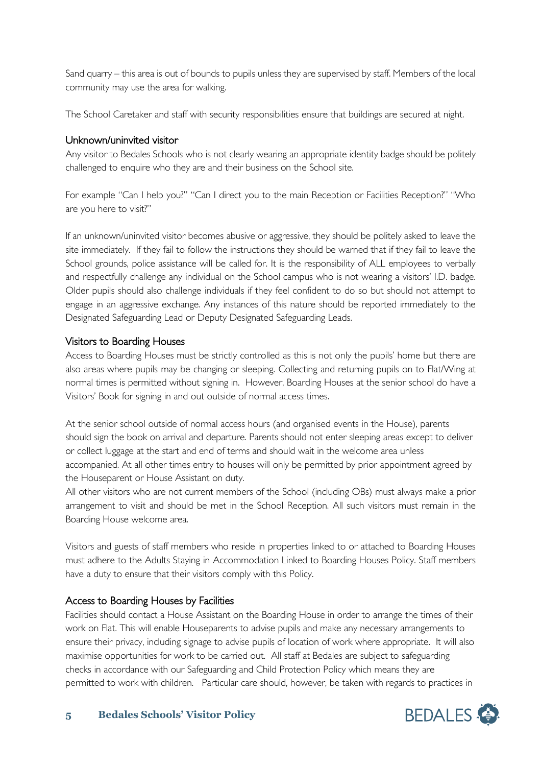Sand quarry – this area is out of bounds to pupils unless they are supervised by staff. Members of the local community may use the area for walking.

The School Caretaker and staff with security responsibilities ensure that buildings are secured at night.

# Unknown/uninvited visitor

Any visitor to Bedales Schools who is not clearly wearing an appropriate identity badge should be politely challenged to enquire who they are and their business on the School site.

For example "Can I help you?" "Can I direct you to the main Reception or Facilities Reception?" "Who are you here to visit?"

If an unknown/uninvited visitor becomes abusive or aggressive, they should be politely asked to leave the site immediately. If they fail to follow the instructions they should be warned that if they fail to leave the School grounds, police assistance will be called for. It is the responsibility of ALL employees to verbally and respectfully challenge any individual on the School campus who is not wearing a visitors' I.D. badge. Older pupils should also challenge individuals if they feel confident to do so but should not attempt to engage in an aggressive exchange. Any instances of this nature should be reported immediately to the Designated Safeguarding Lead or Deputy Designated Safeguarding Leads.

# Visitors to Boarding Houses

Access to Boarding Houses must be strictly controlled as this is not only the pupils' home but there are also areas where pupils may be changing or sleeping. Collecting and returning pupils on to Flat/Wing at normal times is permitted without signing in. However, Boarding Houses at the senior school do have a Visitors' Book for signing in and out outside of normal access times.

At the senior school outside of normal access hours (and organised events in the House), parents should sign the book on arrival and departure. Parents should not enter sleeping areas except to deliver or collect luggage at the start and end of terms and should wait in the welcome area unless accompanied. At all other times entry to houses will only be permitted by prior appointment agreed by the Houseparent or House Assistant on duty.

All other visitors who are not current members of the School (including OBs) must always make a prior arrangement to visit and should be met in the School Reception. All such visitors must remain in the Boarding House welcome area.

Visitors and guests of staff members who reside in properties linked to or attached to Boarding Houses must adhere to the Adults Staying in Accommodation Linked to Boarding Houses Policy. Staff members have a duty to ensure that their visitors comply with this Policy.

# Access to Boarding Houses by Facilities

Facilities should contact a House Assistant on the Boarding House in order to arrange the times of their work on Flat. This will enable Houseparents to advise pupils and make any necessary arrangements to ensure their privacy, including signage to advise pupils of location of work where appropriate. It will also maximise opportunities for work to be carried out. All staff at Bedales are subject to safeguarding checks in accordance with our Safeguarding and Child Protection Policy which means they are permitted to work with children. Particular care should, however, be taken with regards to practices in

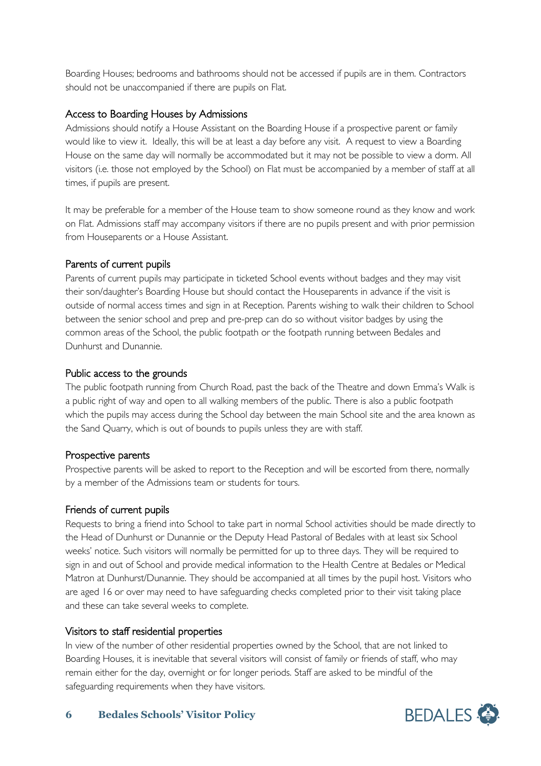Boarding Houses; bedrooms and bathrooms should not be accessed if pupils are in them. Contractors should not be unaccompanied if there are pupils on Flat.

# Access to Boarding Houses by Admissions

Admissions should notify a House Assistant on the Boarding House if a prospective parent or family would like to view it. Ideally, this will be at least a day before any visit. A request to view a Boarding House on the same day will normally be accommodated but it may not be possible to view a dorm. All visitors (i.e. those not employed by the School) on Flat must be accompanied by a member of staff at all times, if pupils are present.

It may be preferable for a member of the House team to show someone round as they know and work on Flat. Admissions staff may accompany visitors if there are no pupils present and with prior permission from Houseparents or a House Assistant.

# Parents of current pupils

Parents of current pupils may participate in ticketed School events without badges and they may visit their son/daughter's Boarding House but should contact the Houseparents in advance if the visit is outside of normal access times and sign in at Reception. Parents wishing to walk their children to School between the senior school and prep and pre-prep can do so without visitor badges by using the common areas of the School, the public footpath or the footpath running between Bedales and Dunhurst and Dunannie.

# Public access to the grounds

The public footpath running from Church Road, past the back of the Theatre and down Emma's Walk is a public right of way and open to all walking members of the public. There is also a public footpath which the pupils may access during the School day between the main School site and the area known as the Sand Quarry, which is out of bounds to pupils unless they are with staff.

# Prospective parents

Prospective parents will be asked to report to the Reception and will be escorted from there, normally by a member of the Admissions team or students for tours.

# Friends of current pupils

Requests to bring a friend into School to take part in normal School activities should be made directly to the Head of Dunhurst or Dunannie or the Deputy Head Pastoral of Bedales with at least six School weeks' notice. Such visitors will normally be permitted for up to three days. They will be required to sign in and out of School and provide medical information to the Health Centre at Bedales or Medical Matron at Dunhurst/Dunannie. They should be accompanied at all times by the pupil host. Visitors who are aged 16 or over may need to have safeguarding checks completed prior to their visit taking place and these can take several weeks to complete.

#### Visitors to staff residential properties

In view of the number of other residential properties owned by the School, that are not linked to Boarding Houses, it is inevitable that several visitors will consist of family or friends of staff, who may remain either for the day, overnight or for longer periods. Staff are asked to be mindful of the safeguarding requirements when they have visitors.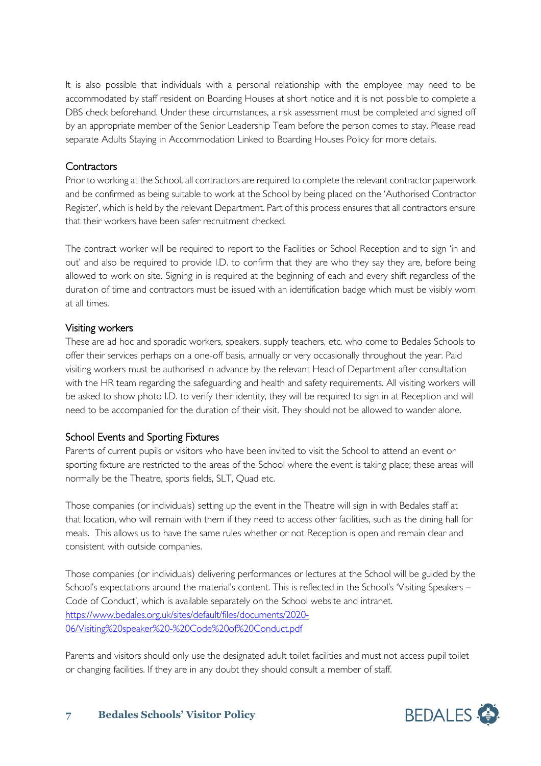It is also possible that individuals with a personal relationship with the employee may need to be accommodated by staff resident on Boarding Houses at short notice and it is not possible to complete a DBS check beforehand. Under these circumstances, a risk assessment must be completed and signed off by an appropriate member of the Senior Leadership Team before the person comes to stay. Please read separate Adults Staying in Accommodation Linked to Boarding Houses Policy for more details.

# **Contractors**

Prior to working at the School, all contractors are required to complete the relevant contractor paperwork and be confirmed as being suitable to work at the School by being placed on the 'Authorised Contractor Register', which is held by the relevant Department. Part of this process ensures that all contractors ensure that their workers have been safer recruitment checked.

The contract worker will be required to report to the Facilities or School Reception and to sign 'in and out' and also be required to provide I.D. to confirm that they are who they say they are, before being allowed to work on site. Signing in is required at the beginning of each and every shift regardless of the duration of time and contractors must be issued with an identification badge which must be visibly worn at all times.

# Visiting workers

These are ad hoc and sporadic workers, speakers, supply teachers, etc. who come to Bedales Schools to offer their services perhaps on a one-off basis, annually or very occasionally throughout the year. Paid visiting workers must be authorised in advance by the relevant Head of Department after consultation with the HR team regarding the safeguarding and health and safety requirements. All visiting workers will be asked to show photo I.D. to verify their identity, they will be required to sign in at Reception and will need to be accompanied for the duration of their visit. They should not be allowed to wander alone.

# School Events and Sporting Fixtures

Parents of current pupils or visitors who have been invited to visit the School to attend an event or sporting fixture are restricted to the areas of the School where the event is taking place; these areas will normally be the Theatre, sports fields, SLT, Quad etc.

Those companies (or individuals) setting up the event in the Theatre will sign in with Bedales staff at that location, who will remain with them if they need to access other facilities, such as the dining hall for meals. This allows us to have the same rules whether or not Reception is open and remain clear and consistent with outside companies.

Those companies (or individuals) delivering performances or lectures at the School will be guided by the School's expectations around the material's content. This is reflected in the School's 'Visiting Speakers – Code of Conduct', which is available separately on the School website and intranet. [https://www.bedales.org.uk/sites/default/files/documents/2020-](https://www.bedales.org.uk/sites/default/files/documents/2020-06/Visiting%20speaker%20-%20Code%20of%20Conduct.pdf) [06/Visiting%20speaker%20-%20Code%20of%20Conduct.pdf](https://www.bedales.org.uk/sites/default/files/documents/2020-06/Visiting%20speaker%20-%20Code%20of%20Conduct.pdf)

Parents and visitors should only use the designated adult toilet facilities and must not access pupil toilet or changing facilities. If they are in any doubt they should consult a member of staff.

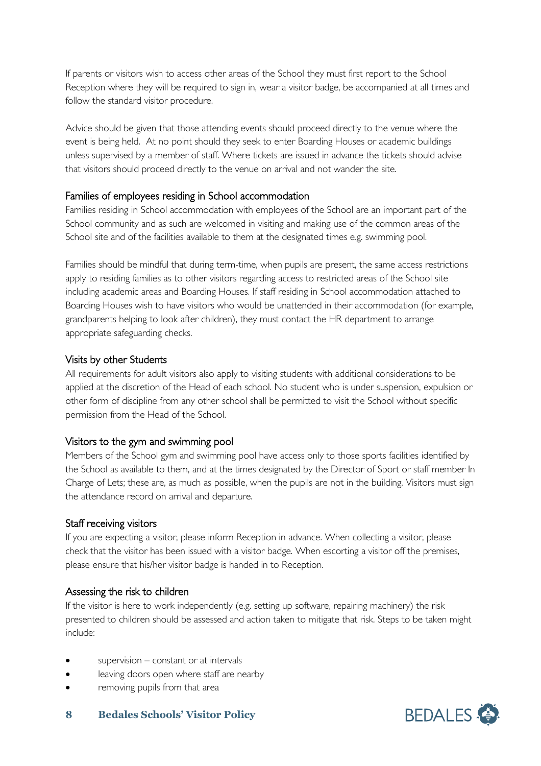If parents or visitors wish to access other areas of the School they must first report to the School Reception where they will be required to sign in, wear a visitor badge, be accompanied at all times and follow the standard visitor procedure.

Advice should be given that those attending events should proceed directly to the venue where the event is being held. At no point should they seek to enter Boarding Houses or academic buildings unless supervised by a member of staff. Where tickets are issued in advance the tickets should advise that visitors should proceed directly to the venue on arrival and not wander the site.

# Families of employees residing in School accommodation

Families residing in School accommodation with employees of the School are an important part of the School community and as such are welcomed in visiting and making use of the common areas of the School site and of the facilities available to them at the designated times e.g. swimming pool.

Families should be mindful that during term-time, when pupils are present, the same access restrictions apply to residing families as to other visitors regarding access to restricted areas of the School site including academic areas and Boarding Houses. If staff residing in School accommodation attached to Boarding Houses wish to have visitors who would be unattended in their accommodation (for example, grandparents helping to look after children), they must contact the HR department to arrange appropriate safeguarding checks.

# Visits by other Students

All requirements for adult visitors also apply to visiting students with additional considerations to be applied at the discretion of the Head of each school. No student who is under suspension, expulsion or other form of discipline from any other school shall be permitted to visit the School without specific permission from the Head of the School.

# Visitors to the gym and swimming pool

Members of the School gym and swimming pool have access only to those sports facilities identified by the School as available to them, and at the times designated by the Director of Sport or staff member In Charge of Lets; these are, as much as possible, when the pupils are not in the building. Visitors must sign the attendance record on arrival and departure.

#### Staff receiving visitors

If you are expecting a visitor, please inform Reception in advance. When collecting a visitor, please check that the visitor has been issued with a visitor badge. When escorting a visitor off the premises, please ensure that his/her visitor badge is handed in to Reception.

#### Assessing the risk to children

If the visitor is here to work independently (e.g. setting up software, repairing machinery) the risk presented to children should be assessed and action taken to mitigate that risk. Steps to be taken might include:

- $supervision constant$  or at intervals
- leaving doors open where staff are nearby
- removing pupils from that area

#### **8 Bedales Schools' Visitor Policy**

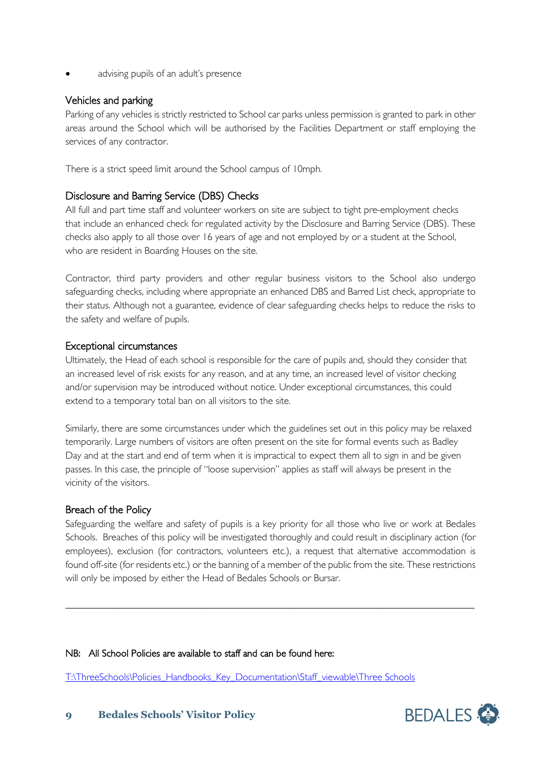advising pupils of an adult's presence

# Vehicles and parking

Parking of any vehicles is strictly restricted to School car parks unless permission is granted to park in other areas around the School which will be authorised by the Facilities Department or staff employing the services of any contractor.

There is a strict speed limit around the School campus of 10mph.

# Disclosure and Barring Service (DBS) Checks

All full and part time staff and volunteer workers on site are subject to tight pre-employment checks that include an enhanced check for regulated activity by the Disclosure and Barring Service (DBS). These checks also apply to all those over 16 years of age and not employed by or a student at the School, who are resident in Boarding Houses on the site.

Contractor, third party providers and other regular business visitors to the School also undergo safeguarding checks, including where appropriate an enhanced DBS and Barred List check, appropriate to their status. Although not a guarantee, evidence of clear safeguarding checks helps to reduce the risks to the safety and welfare of pupils.

# Exceptional circumstances

Ultimately, the Head of each school is responsible for the care of pupils and, should they consider that an increased level of risk exists for any reason, and at any time, an increased level of visitor checking and/or supervision may be introduced without notice. Under exceptional circumstances, this could extend to a temporary total ban on all visitors to the site.

Similarly, there are some circumstances under which the guidelines set out in this policy may be relaxed temporarily. Large numbers of visitors are often present on the site for formal events such as Badley Day and at the start and end of term when it is impractical to expect them all to sign in and be given passes. In this case, the principle of "loose supervision" applies as staff will always be present in the vicinity of the visitors.

# Breach of the Policy

Safeguarding the welfare and safety of pupils is a key priority for all those who live or work at Bedales Schools. Breaches of this policy will be investigated thoroughly and could result in disciplinary action (for employees), exclusion (for contractors, volunteers etc.), a request that alternative accommodation is found off-site (for residents etc.) or the banning of a member of the public from the site. These restrictions will only be imposed by either the Head of Bedales Schools or Bursar.

\_\_\_\_\_\_\_\_\_\_\_\_\_\_\_\_\_\_\_\_\_\_\_\_\_\_\_\_\_\_\_\_\_\_\_\_\_\_\_\_\_\_\_\_\_\_\_\_\_\_\_\_\_\_\_\_\_\_\_\_\_\_\_\_\_\_\_\_\_\_\_\_\_\_\_

#### NB: All School Policies are available to staff and can be found here:

[T:\ThreeSchools\Policies\\_Handbooks\\_Key\\_Documentation\Staff\\_viewable\Three Schools](file://vm-009-fs/root$/ThreeSchools/Policies_Handbooks_Key_Documentation/Staff_viewable/Three%20Schools)

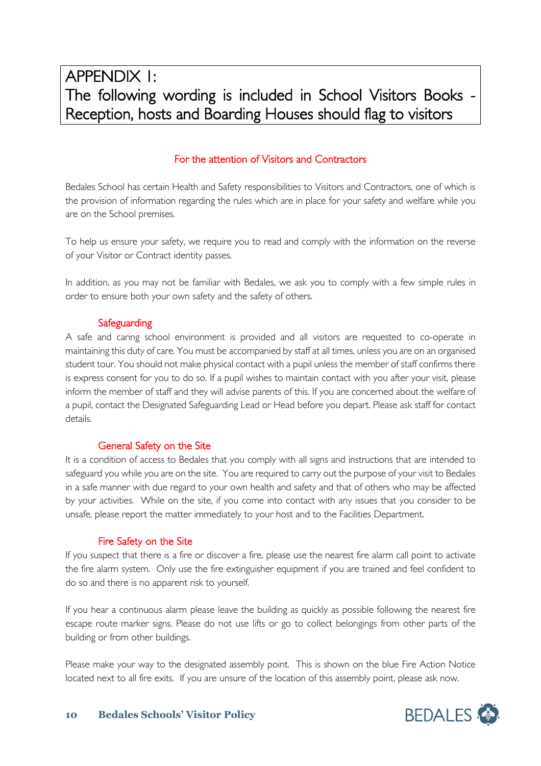# For the attention of Visitors and Contractors

Bedales School has certain Health and Safety responsibilities to Visitors and Contractors, one of which is the provision of information regarding the rules which are in place for your safety and welfare while you are on the School premises.

To help us ensure your safety, we require you to read and comply with the information on the reverse of your Visitor or Contract identity passes.

In addition, as you may not be familiar with Bedales, we ask you to comply with a few simple rules in order to ensure both your own safety and the safety of others.

# **Safeguarding**

A safe and caring school environment is provided and all visitors are requested to co-operate in maintaining this duty of care. You must be accompanied by staff at all times, unless you are on an organised student tour. You should not make physical contact with a pupil unless the member of staff confirms there is express consent for you to do so. If a pupil wishes to maintain contact with you after your visit, please inform the member of staff and they will advise parents of this. If you are concerned about the welfare of a pupil, contact the Designated Safeguarding Lead or Head before you depart. Please ask staff for contact details.

# General Safety on the Site

It is a condition of access to Bedales that you comply with all signs and instructions that are intended to safeguard you while you are on the site. You are required to carry out the purpose of your visit to Bedales in a safe manner with due regard to your own health and safety and that of others who may be affected by your activities. While on the site, if you come into contact with any issues that you consider to be unsafe, please report the matter immediately to your host and to the Facilities Department.

# Fire Safety on the Site

If you suspect that there is a fire or discover a fire, please use the nearest fire alarm call point to activate the fire alarm system. Only use the fire extinguisher equipment if you are trained and feel confident to do so and there is no apparent risk to yourself.

If you hear a continuous alarm please leave the building as quickly as possible following the nearest fire escape route marker signs. Please do not use lifts or go to collect belongings from other parts of the building or from other buildings.

Please make your way to the designated assembly point. This is shown on the blue Fire Action Notice located next to all fire exits. If you are unsure of the location of this assembly point, please ask now.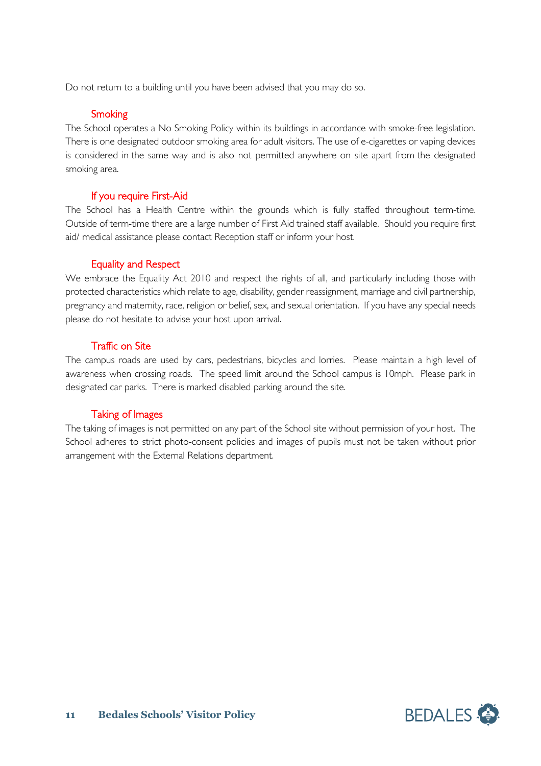Do not return to a building until you have been advised that you may do so.

#### **Smoking**

The School operates a No Smoking Policy within its buildings in accordance with smoke-free legislation. There is one designated outdoor smoking area for adult visitors. The use of e-cigarettes or vaping devices is considered in the same way and is also not permitted anywhere on site apart from the designated smoking area.

# If you require First-Aid

The School has a Health Centre within the grounds which is fully staffed throughout term-time. Outside of term-time there are a large number of First Aid trained staff available. Should you require first aid/ medical assistance please contact Reception staff or inform your host.

# Equality and Respect

We embrace the Equality Act 2010 and respect the rights of all, and particularly including those with protected characteristics which relate to age, disability, gender reassignment, marriage and civil partnership, pregnancy and maternity, race, religion or belief, sex, and sexual orientation. If you have any special needs please do not hesitate to advise your host upon arrival.

# Traffic on Site

The campus roads are used by cars, pedestrians, bicycles and lorries. Please maintain a high level of awareness when crossing roads. The speed limit around the School campus is 10mph. Please park in designated car parks. There is marked disabled parking around the site.

#### Taking of Images

The taking of images is not permitted on any part of the School site without permission of your host. The School adheres to strict photo-consent policies and images of pupils must not be taken without prior arrangement with the External Relations department.

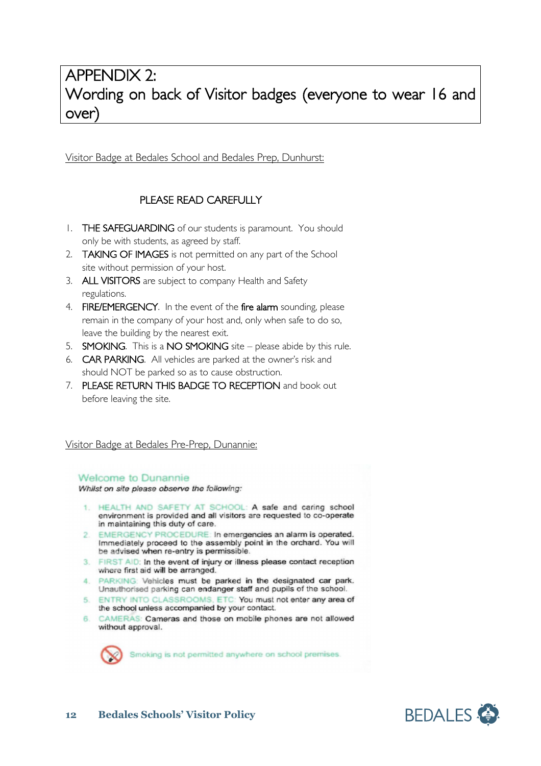# APPENDIX 2: Wording on back of Visitor badges (everyone to wear 16 and over)

Visitor Badge at Bedales School and Bedales Prep, Dunhurst:

# PLEASE READ CAREFULLY

- 1. THE SAFEGUARDING of our students is paramount. You should only be with students, as agreed by staff.
- 2. **TAKING OF IMAGES** is not permitted on any part of the School site without permission of your host.
- 3. ALL VISITORS are subject to company Health and Safety regulations.
- 4. FIRE/EMERGENCY. In the event of the fire alarm sounding, please remain in the company of your host and, only when safe to do so, leave the building by the nearest exit.
- 5. SMOKING. This is a NO SMOKING site please abide by this rule.
- 6. CAR PARKING. All vehicles are parked at the owner's risk and should NOT be parked so as to cause obstruction.
- 7. PLEASE RETURN THIS BADGE TO RECEPTION and book out before leaving the site.

#### Visitor Badge at Bedales Pre-Prep, Dunannie:

#### **Welcome to Dunannie**

Whilst on site please observe the following:

- 1. HEALTH AND SAFETY AT SCHOOL: A safe and caring school environment is provided and all visitors are requested to co-operate in maintaining this duty of care.
- 2. EMERGENCY PROCEDURE: In emergencies an alarm is operated. Immediately proceed to the assembly point in the orchard. You will be advised when re-entry is permissible.
- FIRST AID: In the event of injury or illness please contact reception  $3$ where first aid will be arranged.
- 4. PARKING: Vehicles must be parked in the designated car park. Unauthorised parking can endanger staff and pupils of the school.
- 5. ENTRY INTO CLASSROOMS, ETC: You must not enter any area of the school unless accompanied by your contact.
- CAMERAS: Cameras and those on mobile phones are not allowed 6. without approval.



Smoking is not permitted anywhere on school premises.